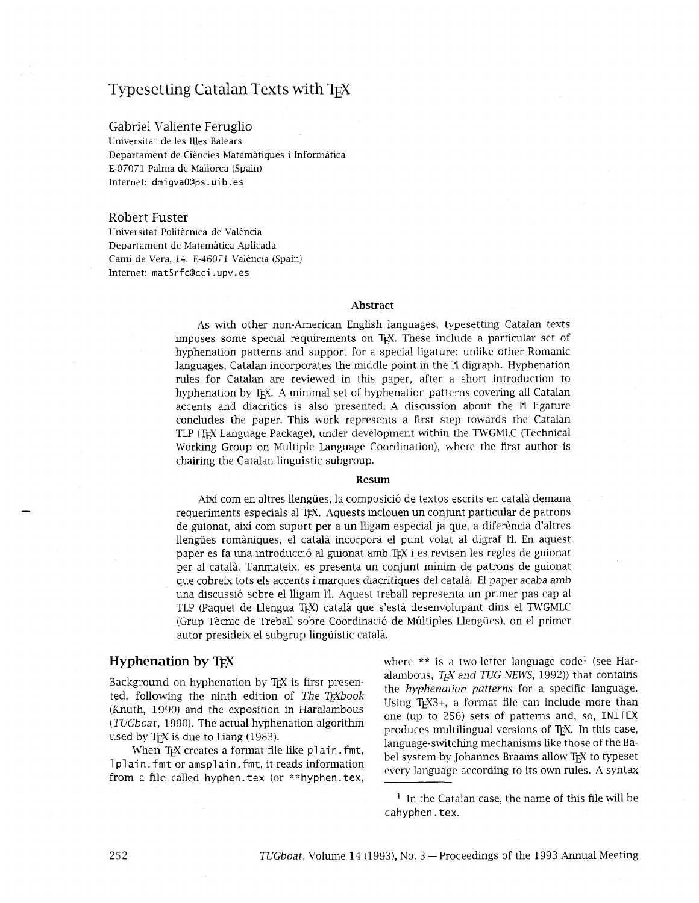# Typesetting Catalan Texts with T<sub>F</sub>X

# Gabriel Valiente Feruglio

Universitat de les Illes Balears Departament de Ciencies Matematiques i Inforrnatica E-07071 Palma de Mallorca (Spain) Internet: dmi gvaO@ps . ui b . es

#### Robert Fuster

Universitat Politècnica de València Departament de Matematica Aplicada Cami de Vera, 14. E-46071 Valencia (Spain) Internet: **mat5rf** c@cci . upv . es

#### **Abstract**

As with other non-American English languages, typesetting Catalan texts imposes some special requirements on TEX. These include a particular set of hyphenation patterns and support for a special ligature: unlike other Romanic languages, Catalan incorporates the middle point in the 11 digraph. Hyphenation rules for Catalan are reviewed in this paper, after a short introduction to hyphenation by T<sub>F</sub>X. A minimal set of hyphenation patterns covering all Catalan accents and diacritics is also presented. A discussion about the l'1 ligature concludes the paper. This work represents a first step towards the Catalan TLP (TEX Language Package), under development within the TWGMLC (Technical Working Group on Multiple Language Coordination), where the first author is chairing the Catalan linguistic subgroup.

#### **Re sum**

Aixi com en altres llengiies, la composicio de textos escrits en catala demana requeriments especials al T<sub>F</sub>X. Aquests inclouen un conjunt particular de patrons de guionat, aixi com suport per a un lligam especial ja que, a diferencia d'altres llengiies romaniques, el catala incorpora el punt volat a1 digraf I'l. En aquest paper es fa una introducció al guionat amb TFX i es revisen les regles de guionat per a1 catala. Tanmateix, es presenta un conjunt minim de patrons de guionat que cobreix tots els accents i marques diacritiques *del* catala. El paper acaba amb una discussió sobre el lligam l. Aquest treball representa un primer pas cap al TLP (Paquet de Llengua TEX) catala que s'esta desenvolupant dins el TWGMLC (Grup Tècnic de Treball sobre Coordinació de Múltiples Llengües), on el primer autor presideix el subgrup lingüístic català.

# **Hyphenation by T<sub>E</sub>X**

Background on hyphenation by TEX is first presented, following the ninth edition of *The Tgbook*  (Knuth, 1990) and the exposition in Haralambous *(TUGboat,* 1990). The actual hyphenation algorithm used by T<sub>E</sub>X is due to Liang  $(1983)$ .

When T<sub>F</sub>X creates a format file like plain. fmt, 1 plain. fmt or amsplain. fmt, it reads information from a file called hyphen. tex (or \*\*hyphen. tex,

where  $**$  is a two-letter language code<sup>1</sup> (see Haralambous, *T<sub>F</sub>X and TUG NEWS*, 1992)) that contains the *hyphenation patterns* for a specific language. Using  $TrX3+$ , a format file can include more than one (up to 256) sets of patterns and, so, INITEX produces multilingual versions of T<sub>F</sub>X. In this case, language-switching mechanisms like those of the Babel system by Johannes Braams allow T<sub>F</sub>X to typeset every language according to its own rules. A syntax

 $<sup>1</sup>$  In the Catalan case, the name of this file will be</sup> cahyphen. tex.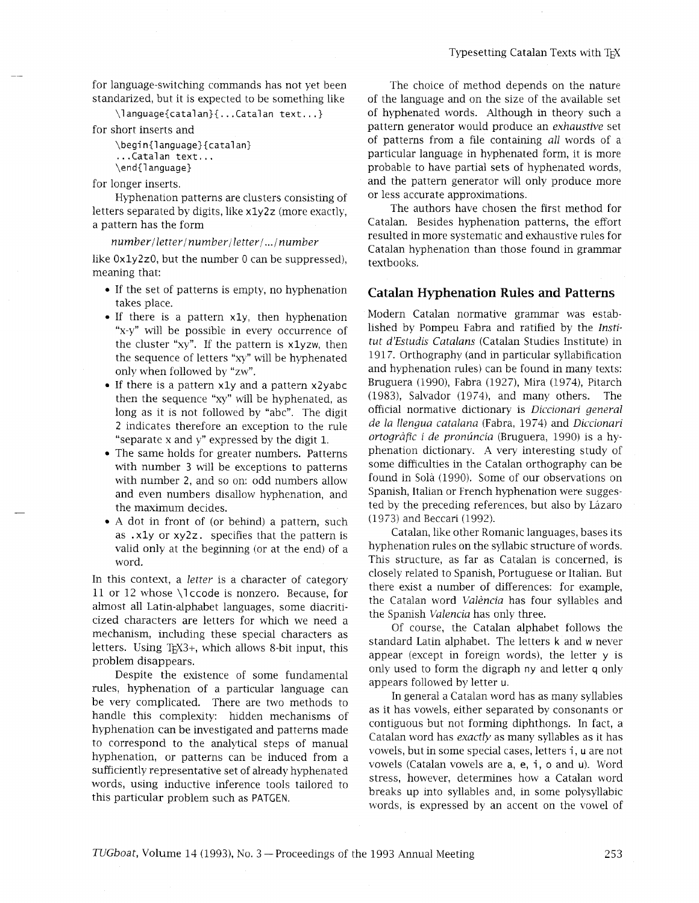for language-switching commands has not yet been standarized, but it is expected to be something like

\language{catalan}{...Catalan text...}

for short inserts and

```
\begin{language}{catalan}
. . .Catalan text. . . 
\end{l anguage}
```
for longer inserts.

Hyphenation patterns are clusters consisting of letters separated by digits, like xly2z (more exactly, a pattern has the form

 $number/letter/number/letter/$ .../number

like Oxly2z0, but the number 0 can be suppressed), meaning that:

- If the set of patterns is empty, no hyphenation takes place.
- If there is a pattern x1y, then hyphenation "x-y" will be possible in every occurrence of the cluster "xy". If the pattern is xlyzw, then the sequence of letters "xy" will be hyphenated only when followed by "zw".
- If there is a pattern xly and a pattern x2yabc then the sequence "xy" will be hyphenated, as long as it is not followed by "abc". The digit **2** indicates therefore an exception to the rule "separate x and y" expressed by the digit 1.
- The same holds for greater numbers. Patterns with number 3 will be exceptions to patterns with number 2, and so on: odd numbers allow and even numbers disallow hyphenation, and the maximum decides.
- A dot in front of (or behnd) a pattern, such as . xly or xy2z. specifies that the pattern is valid only at the beginning (or at the end) of a word.

In this context, a *letter* is a character of category 11 or 12 whose \I ccode is nonzero. Because, for almost all Latin-alphabet languages, some diacriticized characters are letters for which we need a mechanism, including these special characters as letters. Using  $TrX3+$ , which allows 8-bit input, this problem disappears.

Despite the existence of some fundamental rules, hyphenation of a particular language can be very complicated. There are two methods to handle this complexity: hidden mechanisms of hyphenation can be investigated and patterns made to correspond to the analytical steps of manual hyphenation, or patterns can be induced from a sufficiently representative set of already hyphenated words, using inductive inference tools tailored to this particular problem such as PATGEN.

The choice of method depends on the nature of the language and on the size of the available set of hyphenated words. Although in theory such a pattern generator would produce an *exhaustive* set of patterns from a file containing *all* words of a particular language in hyphenated form, it is more probable to have partial sets of hyphenated words, and the pattern generator will only produce more or less accurate approximations.

The authors have chosen the first method for Catalan. Besides hyphenation patterns, the effort resulted in more systematic and exhaustive rules for Catalan hyphenation than those found in grammar textbooks.

### Catalan Hyphenation Rules and Patterns

Modern Catalan normative grammar was established by Pompeu Fabra and ratified by the *Institut d'Estudis Catalans* (Catalan Studies Institute) in 1917. Orthography (and in particular syllabification and hyphenation rules) can be found in many texts: Bruguera (1990), Fabra (1927), Mira (1974), Pitarch (1983), Salvador (1974), and many others. The official normative dictionary is *Diccionari general de la llengua catalana* (Fabra, 1974) and *Diccionari ortografic i de pronuncia* (Bruguera, 1990) is a hyphenation dictionary. A very interesting study of some difficulties in the Catalan orthography can be found in Sola (1990). Some of our observations on Spanish, Italian or French hyphenation were suggested by the preceding references, but also by Lázaro (1973) and Beccari (1992).

Catalan, like other Romanic languages, bases its hyphenation rules on the syllabic structure of words. This structure, as far as Catalan is concerned, is closely related to Spanish, Portuguese or Italian. But there exist a number of differences: for example, the Catalan word *Valencia* has four syllables and the Spanish *Valencia* has only three.

Of course, the Catalan alphabet follows the standard Latin alphabet. The letters k and w never appear (except in foreign words), the letter y is only used to form the digraph ny and letter q only appears followed by letter u.

In general a Catalan word has as many syllables as it has vowels, either separated by consonants or contiguous but not forming diphthongs. In fact, a Catalan word has *exactly* as many syllables as it has Catalan word has *exactly* as many syllables as it has<br>vowels, but in some special cases, letters i, u are not vowels, but in some special cases, letters i, u are not<br>vowels (Catalan vowels are a, e, i, o and u). Word stress, however, determines how a Catalan word breaks up into syllables and, in some polysyllabic words, is expressed by an accent on the vowel of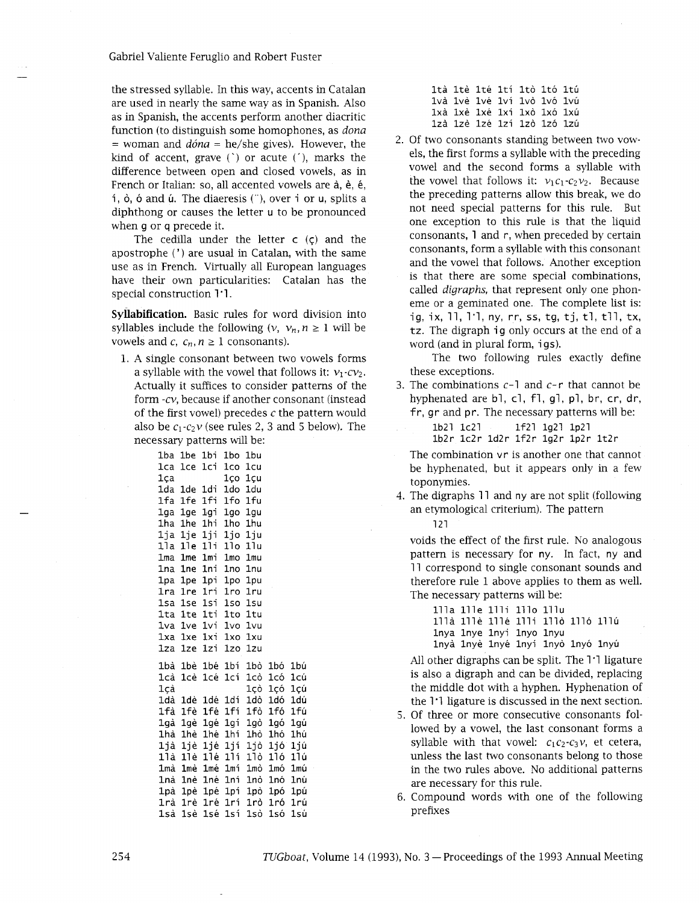Gabriel Valiente Feruglio and Robert Fuster

the stressed syllable. In this way, accents in Catalan are used in nearly the same way as in Spanish. Also as in Spanish, the accents perform another diacritic function (to distinguish some homophones, as *dona*  = woman and *dona* = he/she gives). However, the kind of accent, grave  $(')$  or acute  $(')$ , marks the difference between open and closed vowels, as in French or Italian: so, all accented vowels are à, è, é, é, í, ò, ó and ú. The diaeresis (¨), over i or u, splits a diphthong or causes the letter u to be pronounced when g or q precede it.

The cedilla under the letter  $c$  ( $\varsigma$ ) and the apostrophe (') are usual in Catalan, with the same use as in French. Virtually all European languages have their own particularities: Catalan has the special construction 1'1.

**Syllabification.** Basic rules for word division into syllables include the following  $(v, v_n, n \ge 1)$  will be vowels and  $c$ ,  $c_n$ ,  $n \geq 1$  consonants).

1. A single consonant between two vowels forms a syllable with the vowel that follows it:  $v_1$ - $cv_2$ . Actually it suffices to consider patterns of the form -cv, because if another consonant (instead of the first vowel) precedes  $c$  the pattern would also be  $c_1$ - $c_2$  $\nu$  (see rules 2, 3 and 5 below). The necessary patterns will be:

| сээагу рансниэ wm ре. |                 |             |         |      |         |     |
|-----------------------|-----------------|-------------|---------|------|---------|-----|
| 1ba                   | 1be             | lbi         | 1bo     | 1bu  |         |     |
| lca                   | 1ce             | 1ci         | lco i   | 1cu  |         |     |
| lca                   |                 |             | 1co     | 1cu  |         |     |
| 1da                   | 1de             | 1di         | 1do -   | 1du  |         |     |
|                       |                 | 1fa 1fe 1fi | 1fo     | 1fu  |         |     |
| lqa                   |                 | lge lgi     | 1qo     | 1qu  |         |     |
|                       | 1ha 1he         | lhi         | 1ho     | 1hu  |         |     |
|                       | lja lje         | lii         | ljo     | 1iu  |         |     |
| 11a                   | 11e             | 11i         | 11o     | 11u  |         |     |
| lma                   | 1me             | lmi         | 1mo     | 1mu  |         |     |
| lna                   | 1ne             | lni         | 1no     | 1nu  |         |     |
| lpa                   | 1pe             | lpi.        | 1po.    | 1pu  |         |     |
| 1ra                   | 1 <sub>re</sub> | 1ri l       | 1ro     | 1ru  |         |     |
| 1sa                   | 1se             | lsi         | 1so     | 1su  |         |     |
| 1ta                   | lte             | lti         | lto.    | 1tu  |         |     |
| 1va                   | 1ve i           | 1vi -       | 1vo.    | lvu  |         |     |
| 1xa                   | 1xe             | 1xi         | 1xo     | 1xu  |         |     |
| 1za                   | 1ze             | 1zi         | 1zo-    | 1zu  |         |     |
| 1bà                   |                 | 1bè 1bé 1bí |         | 1bò  | 1bó.    | 1bú |
| lcà                   | 1cè             | 1cé         | 1cí     | 1cò  | 1có     | 1cú |
| 1çà                   |                 |             |         | 1cò  | 1có     | 1cú |
| 1dà                   | 1dè             |             | 1dé 1dí | 1dò  | 1dó     | 1dú |
| 1fà                   | 1fè             | 1fé         | 1fí     | 1fò. | 1fó -   | 1fú |
| lgà                   | 1qè             | 1gé         | lqí     |      | lgò lgó | 1qú |
| lhà                   | 1hè             | 1hé         | lhí     | 1hò  | 1hó     | 1hú |
| ljà                   | 1jè             | 1jé         | 1jí     | ljò  | 1jó.    | 1jú |
| 11à                   | 11è             | 11é         | 11 i    | 11ò  | 11ó -   | 11ú |
| 1mà                   | 1mè             | lmé         | lmí     | 1mò  | 1mó     | 1mú |
| 1nà                   | 1nè             | lné         | lní     | 1nò  | 1nó     | 1nú |
| 1pà                   | lpè             | 1pé         | 1pí     | 1pò  | 1pó     | 1pú |
| 1rà                   | 1rè.            | 1ré l       | 1rí.    | 1rò  | 1ró     | 1rú |
| lsà                   | 1sè             | lsé         | 1sí     | 1sò  | 1só     | 1sú |

|  |  | ltà 1tè 1té 1tí 1tò 1tó 1tú |  |  |
|--|--|-----------------------------|--|--|
|  |  | lvà lvè lvé lví lvò lvó lvú |  |  |
|  |  | lxà 1xè 1xé 1xí 1xò 1xó 1xú |  |  |
|  |  | 1zà 1zè 1zé 1zí 1zò 1zó 1zú |  |  |

2. Of two consonants standing between two vowels, the first forms a syllable with the preceding vowel and the second forms a syllable wth the vowel that follows it:  $v_1c_1-c_2v_2$ . Because the preceding patterns allow this break, we do not need special patterns for this rule. But one exception to ths rule is that the liquid consonants, 1 and r, when preceded by certain consonants, form a syllable with this consonant and the vowel that follows. Another exception is that there are some special combinations, called *digraphs,* that represent only one phoneme or a geminated one. The complete list is: ig, ix, 11, 1<sup>-1</sup>, ny, r<sub>r</sub>, ss, tg, tj, tl, tll, tx, tz. The digraph ig only occurs at the end of a word (and in plural form, igs).

The two following rules exactly define these exceptions.

- 3. The combinations  $c-1$  and  $c-r$  that cannot be hyphenated are bl, cl, fl, gl, pl, br, cr, dr, fr, gr and pr. The necessary patterns will be:
	- lb2l lc2l lf2l lg2l lp2l lb2r lc2r ld2r lf2r lg2r lp2r lt2r

The combination vr is another one that cannot be hyphenated, but it appears only in a few toponyrnies.

4. The digraphs 11 and ny are not split (following an etymological criterium). The pattern 121

voids the effect of the first rule. No analogous pattern is necessary for ny. In fact, ny and

11 correspond to single consonant sounds and therefore rule 1 above applies to them as well. The necessary patterns will be:

111a 111e 111i 111o 111u 111a 111e 111e llli 1116 1110 111u lnya lnye lnyi lnyo lnyu lnya lnye lnye lnyi lnyo lnyo lnyu

All other digraphs can be split. The 1'1 ligature is also a digraph and can be divided, replacing the middle dot with a hyphen. Hyphenation of the 1'1 ligature is discussed in the next section.

- 5. Of three or more consecutive consonants followed by a vowel, the last consonant forms a syllable with that vowel:  $c_1c_2-c_3v$ , et cetera, unless the last two consonants belong to those in the two rules above. No additional patterns are necessary for this rule.
- Compound words with one of the following prefixes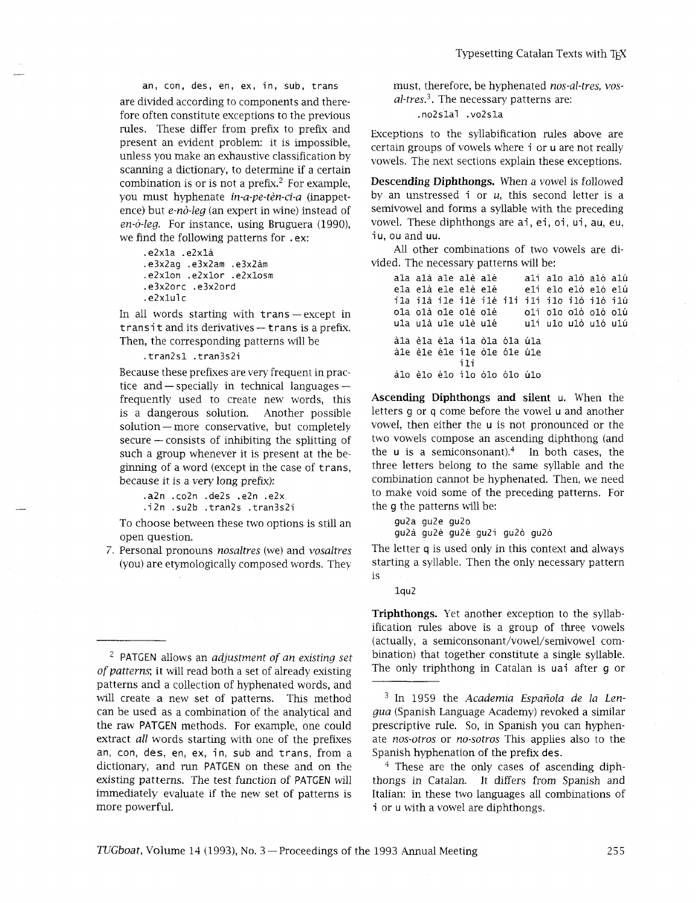an, con, des, en, ex, in, sub, trans are divided according to components and therefore often constitute exceptions to the previous rules. These differ from prefix to prefix and present an evident problem: it is impossible, unless you make an exhaustive classification by scanning a dictionary, to determine if a certain combination is or is not a prefix.<sup>2</sup> For example, you must hyphenate *in-a-pe-ten-ci-a* (inappetence) but *e-no-leg* (an expert in wine) instead of *en-0-leg.* For instance, using Bruguera (1990), we find the following patterns for .ex:

```
.e2xla .e2xla 
.e3x2ag .e3x2am .e3x2am 
.e2xlon .e2xlor .e2xlosm 
.e3x2orc .e3x2ord 
. e2xlul c
```
In all words starting with trans — except in<br>transit and its derivatives — trans is a prefix. Then, the corresponding patterns will be

.tran2s1 .tran3s2i

Because these prefixes are very frequent in practice and  $-$  specially in technical languages  $$ frequently used to create new words, this is a dangerous solution. Another possible solution - more conservative, but completely  $secure$  - consists of inhibiting the splitting of such a group whenever it is present at the beginning of a word (except in the case of trans, because it is a very long prefix):

.a2n .co2n .de2s .e2n .e2x .i2n .su2b .tran2s .tran3s2i

To choose between these two options is still an open question.

7. Personal pronouns *nosaltres* (we) and *vosaltres*  (you) are etymologically composed words. They must, therefore, be hyphenated *nos-al-tres, vosal-tres.*<sup>3</sup>. The necessary patterns are:

. no2slal .vo2sla

Exceptions to the syllabification rules above are certain groups of vowels where i or u are not really vowels. The next sections explain these exceptions.

**Descending Diphthongs.** When a vowel is followed by an unstressed i or *u*, this second letter is a semivowel and forms a syllable with the preceding vowel. These diphthongs are ai, ei, oi, ui, au, eu, iu, ou and uu.

All other combinations of two vowels are divided. The necessary patterns will be:

ala ala ale ale ale ali a10 a10 a10 alh elí elo elò eló elú ila ilà ile ilè ilé ili ilí ilo ilò iló ilú<br>ola olà ole olè olé olí olo olò oló olú ola olà ole olè olé olí olo olò oló olú<br>ula ulà ule ulè ulé ulí ulo ulò uló ulú uli ulo ulò uló ulú àla èla éla ila òla óla úla àle èle éle ile òle óle úle i li àlo èlo élo ílo òlo ólo úlo

Ascending **Diphthongs** and silent u. When the letters g or q come before the vowel u and another vowel, then either the u is not pronounced or the two vowels compose an ascending diphthong (and the  $u$  is a semiconsonant).<sup>4</sup> In both cases, the three letters belong to the same syllable and the combination cannot be hyphenated. Then, we need to make void some of the preceding patterns. For the g the patterns will be:

gu2a qu2e gu2o gu2à gu2è gu2é gu2í gu2ò gu2ó

The letter q is used only in this context and always starting a syllable. Then the only necessary pattern is

lqu2

**Triphthongs.** Yet another exception to the syllabification rules above is a group of three vowels (actually, a serniconsonant/vowel/semivowel combination) that together constitute a single syllable. The only triphthong in Catalan is uai after g or

<sup>3</sup> In 1959 the *Academia Española de la Lenqua* (Spanish Language Academy) revoked a similar prescriptive ruIe. So, in Spanish you can hyphenate *nos-otros* or *no-sotros* This applies also to the Spanish hyphenation of the prefix des.

 $4$  These are the only cases of ascending diphthongs in Catalan. It differs from Spanish and Italian: in these two languages all combinations of i or u with a vowel are diphthongs.

PATGEN allows an *adjustment of an existing set of patterns;* it will read both a set of already existing patterns and a collection of hyphenated words, and will create a new set of patterns. This method can be used as a combination of the analytical and the raw PATGEN methods. For example, one could extract *all* words starting with one of the prefixes an, con, des, en, ex, in, sub and trans, from a dictionary, and run PATGEN on these and on the existing patterns. The test function of PATGEN will immediately evaluate if the new set of patterns is more powerful.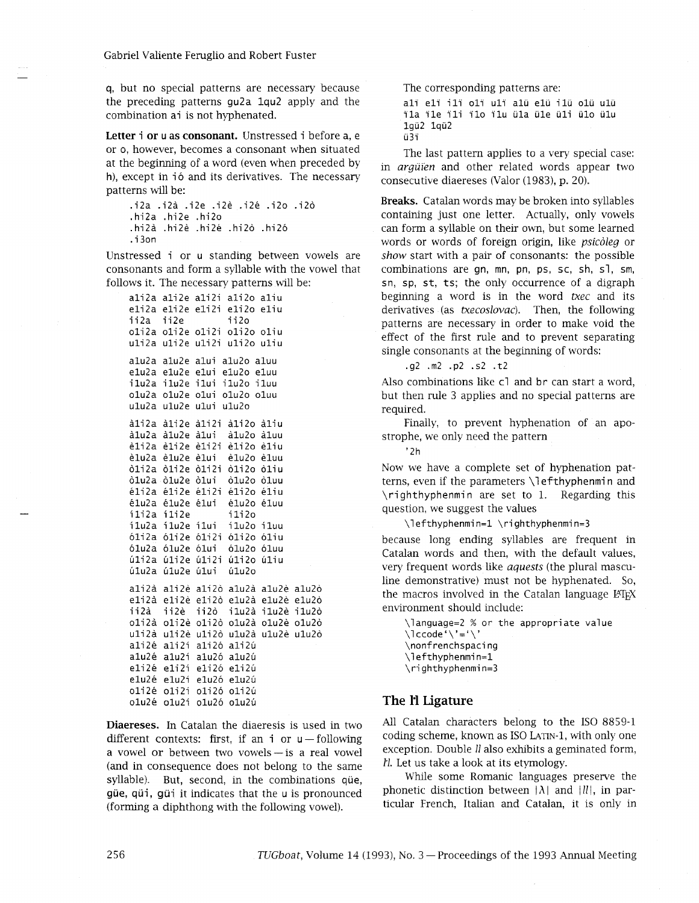**q,** but no special patterns are necessary because the preceding patterns gu2a lqu2 apply and the combination ai is not hyphenated.

**Letter** i **or** u **as consonant.** Unstressed i before a, <sup>e</sup> or o, however, becomes a consonant when situated at the beginning of a word (even when preceded by h), except in ió and its derivatives. The necessary patterns will be:

```
.i2a .i2a .i2e .i2e .i2e .i2o .i20 
. hi2a .hi2e .hi20 
.hi2a .hi2e .hi2e .hi20 .hi20 
. i 3on
```
Unstressed i or u standing between vowels are consonants and form a syllable with the vowel that follows it. The necessary patterns will be:

ali2a ali2e ali2i ali2o aliu eli2a eli2e eli2i eli2o eliu ii2a ii2e <sup>i</sup>i <sup>20</sup> oli2a oli2e oli2i oli2o oliu uli2a uli2e uli2i uli2o uliu alu2a alu2e alui alu2o aluu elu2a elu2e elui elu2o eluu ilu2a ilu2e ilui ilu2o iluu olu2a olu2e olui olu2o oluu ulu2a ulu2e ului ulu2o ali2a ali2e ali2i ali2o aliu à1u2a à1u2e à1ui à1u2o à1uu eli2a eli2e eli2i eli2o eliu elu2a elu2e elui elu2o eluu oli2a oli2e 0li2i 0li2o oliu 0lu2a 0lu2e olui 011~20 oluu eli2a eli2e eli2i eli2o eliu eluza eluze elui eluzo elu<br>éluza éluze élui – éluzo éluu<br>éluza éluze élui – éluzo élu ilu2a ilu2e ilui ilu2o iluu oli2a oli2e oli2i oli2o oliu o1u2a olu2e olui 01~20 oluu úli2a úli2e úli2i úli2o úliu úlu2a úlu2e úlui úlu2o ali2à ali2è ali2ò alu2à alu2è alu2ò eli2à eli2è eli2ò elu2à elu2è elu2ò ii2à ii2è ii2ò i1u2à i1u2è i1u2ò oli2à oli2è oli2ò olu2à olu2è olu2ò uli2à uli2è uli2ò ulu2à ulu2è ulu2ò ali2é ali2í ali2ó ali2ú alu2é alu2í alu2ó alu2ú eli2é eli2í eli2ó eli2ú elu2é elu2í elu2ó elu2ú oli2é oli2í oli2ó oli2ú olu2é olu2í olu2ó olu2ú

**Diaereses.** In Catalan the diaeresis is used in two different contexts: first, if an  $i$  or  $u$  - following a vowel or between two vowels $-$ is a real vowel (and in consequence does not belong to the same syllable). But, second, in the combinations que, gue, qui, gui it indicates that the u is pronounced (forming a diphthong with the following vowel).

The corresponding patterns are:

The corresponding patterns are:<br>ali eli ili oli uli alu elu ilu olu ulu<br>šla šla šli šli šlu üle üle üle üle üle alï elï ilï olï ulï alü elü ilü olü ulü<br>ïla ïle ïli ïlo ïlu üla üle üli ülo ülu<br>1400 1400 1gu2 lqij2 ü3i

The last pattern applies to a very special case: in *argüïen* and other related words appear two consecutive diaereses (Valor (1983), p. 20).

**Breaks.** Catalan words may be broken into syllables containing just one letter. Actually, only vowels can form a syllable on their own, but some learned words or words of foreign origin, like psicoleg or show start with a pair of consonants: the possible combinations are gn, mn, pn, ps, sc, sh, sl, sm, sn, sp, st, ts; the only occurrence of a digraph beginning a word is in the word txec and its derivatives (as *txecoslovac*). Then, the following patterns are necessary in order to make void the effect of the first rule and to prevent separating single consonants at the beginning of words:

.g2 .m2 .p2 .s2 . t2

Also combinations like c1 and br can start a word, but then rule 3 applies and no special patterns are required.

Finally, to prevent hyphenation of an apostrophe, we only need the pattern

'2h

Now we have a complete set of hyphenation patterns, even if the parameters \l efthyphenmi n and \righthyphenmin are set to 1. Regarding this question, we suggest the values

\lefthyphenmin=1 \righthyphenmin=3

because long ending syllables are frequent in Catalan words and then, with the default values, very frequent words like *aquests* (the plural masculine demonstrative) must not be hyphenated. So, the macros involved in the Catalan language LATEX environment should include:

\language=2 % or the appropriate value  $\setminus$ lccode' $\setminus$ '=' $\setminus$ ' \nonf renchspaci ng \lefthyphenmi n=l \ri ghthyphenmi n=3

# **The 1'1 Ligature**

All Catalan characters belong to the IS0 8859-1 coding scheme, known as IS0 LATIN-1, with only one exception. Double *ll* also exhibits a geminated form, tl. Let us take a look at its etymology.

While some Romanic languages preserve the phonetic distinction between  $|\lambda|$  and  $|ll|$ , in particular French, Italian and Catalan, it is only in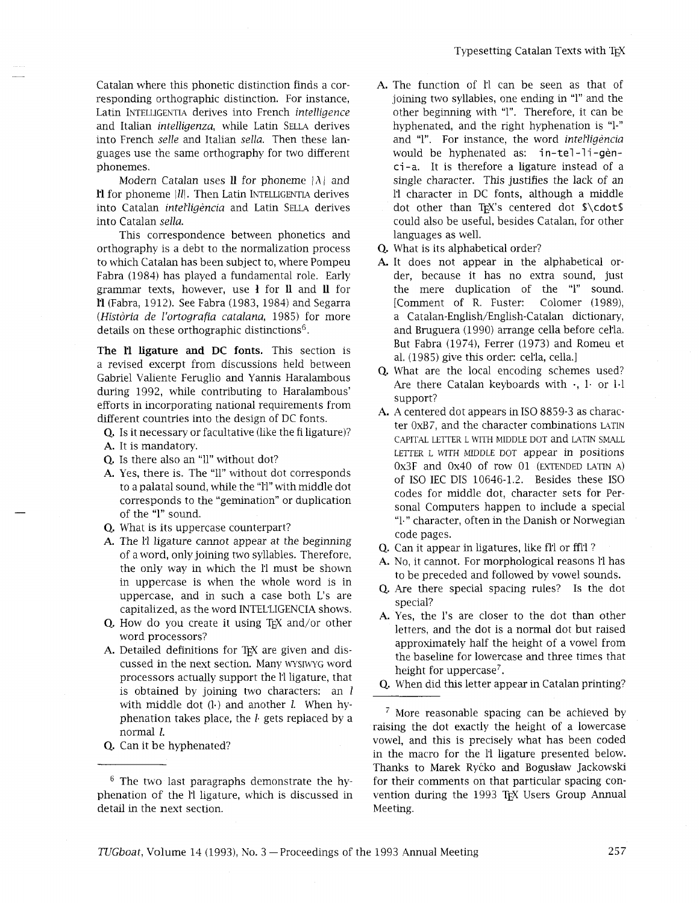Catalan where this phonetic distinction finds a corresponding orthographic distinction. For instance, Latin INTELLIGENTIA derives into French intelligence and Italian *intelligenza*, while Latin SELLA derives into French selle and Italian sella. Then these languages use the same orthography for two different phonemes.

Modern Catalan uses **ll** for phoneme  $|\lambda|$  and **11** for phoneme |*II*|. Then Latin INTELLIGENTIA derives into Catalan intelligència and Latin SELLA derives into Catalan sella.

This correspondence between phonetics and orthography is a debt to the normalization process to which Catalan has been subject to, where Pompeu Fabra (1984) has played a fundamental role. Early grammar texts, however, use **1** for 11 and 11 for **H** (Fabra, 1912). See Fabra (1983, 1984) and Segarra (Història de l'ortoarafia catalana, 1985) for more details on these orthographic distinctions<sup>6</sup>.

**The 1'1 ligature and** DC **fonts.** This section is a revised excerpt from discussions held between Gabriel Valiente Feruglio and Yannis Haralambous during 1992, while contributing to Haralambous' efforts in incorporating national requirements from different countries into the design of DC fonts.

- Q. Is it necessary or facultative (like the fi ligature)? A. It is mandatory.
- Q. Is there also an "ll" without dot?
- A. Yes, there is. The "Il" without dot corresponds to a palatal sound, while the "1'1" with middle dot corresponds to the "gemination" or duplication of the "1" sound.
- Q. What is its uppercase counterpart?
- A. The li ligature cannot appear at the beginning of a word, only joining two syllables. Therefore, the only way in which the ll must be shown in uppercase is when the whole word is in uppercase, and in such a case both L's are capitalized, as the word INTEL'LIGENCIA shows.
- $Q$ . How do you create it using T<sub>F</sub>X and/or other word processors?
- A. Detailed definitions for T<sub>F</sub>X are given and discussed in the next section. Many WSIWG word processors actually support the l'l ligature, that is obtained by joining two characters: an  $l$ with middle dot  $(l)$  and another  $l$ . When hyphenation takes place, the  $l$  gets replaced by a normal *I.*
- Q. Can it be hyphenated?
- A. The function of l'1 can be seen as that of joining two syllables, one ending in "1" and the other beginning with "1". Therefore, it can be hyphenated, and the right hyphenation is "1-" and "1". For instance, the word interligencial would be hyphenated as: in-tel-li-gènci-a. It is therefore a ligature instead of a single character. This justifies the lack of an I1 character in DC fonts, although a middle dot other than TEX's centered dot \$\cdot\$ could also be useful, besides Catalan, for other languages as well.
- Q. What is its alphabetical order?
- A. It does not appear in the alphabetical order, because it has no extra sound, just the mere duplication of the "1" sound. [Comment of R. Fuster: Colomer (1989), a **Catalan-English/English-Catalan** dictionary, and Bruguera (1990) arrange cella before cetla. But Fabra (1974), Ferrer (1973) and Romeu et al. (1985) give this order: cel'la, cella.]
- Q. What are the local encoding schemes used? Are there Catalan keyboards with  $\cdot$ ,  $\cdot$  or  $\cdot$  1.1 support?
- A. A centered dot appears in ISO 8859-3 as character OxB7, and the character combinations LATIN CAPITAL LETTER L WITH MIDDLE DOT and LATIN SMALL LETTER L WITH MIDDLE DOT appear in positions Ox3F and 0x40 of row 01 (EXTENDED LATIN A) of IS0 IEC DIS 10646-1.2. Besides these IS0 codes for middle dot, character sets for Personal Computers happen to include a special "1." character, often in the Danish or Norwegian code pages.
- Q. Can it appear in ligatures, like fl'l or ffl'l?
- A. No, it cannot. For morphological reasons Il has to be preceded and followed by vowel sounds.
- Are there special spacing rules? Is the dot special?
- A. Yes, the l's are closer to the dot than other letters, and the dot is a normal dot but raised approximately half the height of a vowel from the baseline for lowercase and three times that height for uppercase<sup>7</sup>.
- Q. When did this letter appear in Catalan printing?

 $\frac{7}{7}$  More reasonable spacing can be achieved by raising the dot exactly the height of a lowercase vowel, and this is precisely what has been coded in the macro for the 11 ligature presented below. Thanks to Marek Ryćko and Bogusław Jackowski for their comments on that particular spacing convention during the 1993 TFX Users Group Annual Meeting.

 $6$  The two last paragraphs demonstrate the hyphenation of the **11** ligature, which is discussed in detail in the next section.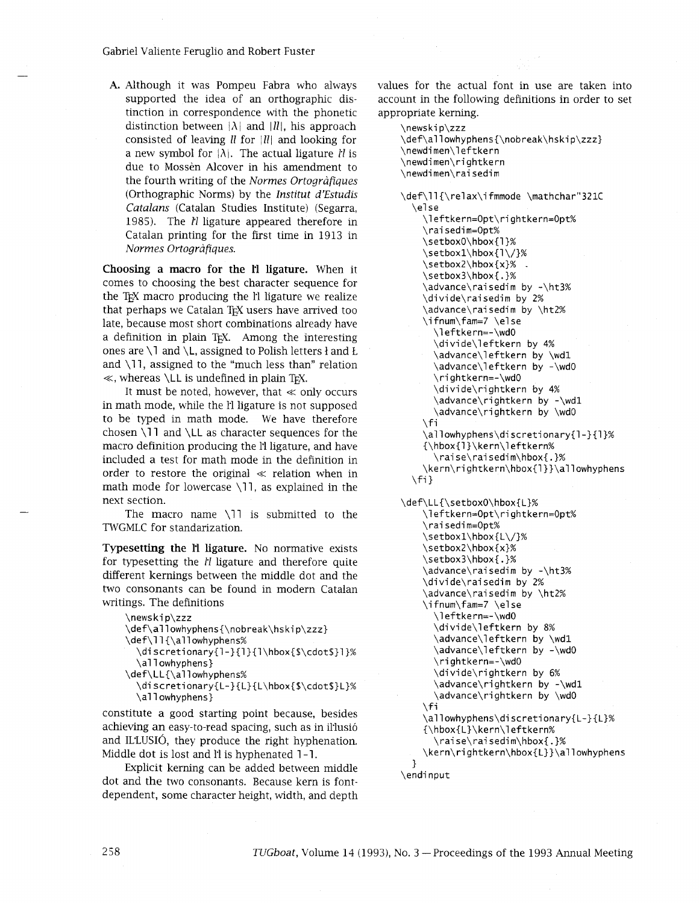Gabriel Valiente Feruglio and Robert Fuster

**A.** Although it was Pompeu Fabra who always supported the idea of an orthographic distinction in correspondence with the phonetic distinction between  $|\lambda|$  and  $|ll|$ , his approach consisted of leaving *II* for *|II*| and looking for a new symbol for  $|\lambda|$ . The actual ligature *ll* is due to Mossèn Alcover in his amendment to the fourth writing of the *Normes Ortografiques*  (Orthographic Norms) by the *Institut d'Estudis Catalans* (Catalan Studies Institute) (Segarra, 1985). The *I'l* ligature appeared therefore in Catalan printing for the first time in 1913 in *Normes Ortografiques.* 

**Choosing a macro for the 1'1 ligature.** When it comes to choosing the best character sequence for the T<sub>E</sub>X macro producing the l'1 ligature we realize that perhaps we Catalan T<sub>F</sub>X users have arrived too late, because most short combinations already have a definition in plain T<sub>F</sub>X. Among the interesting ones are \1 and \L, assigned to Polish letters **1** and **t**  and  $\setminus$ 11, assigned to the "much less than" relation  $\ll$ , whereas \LL is undefined in plain T<sub>F</sub>X.

It must be noted, however, that  $\ll$  only occurs in math mode, while the Il ligature is not supposed to be typed in math mode. We have therefore chosen  $\lceil$ ll and  $\lceil$ LL as character sequences for the macro definition producing the 1'1 ligature, and have included a test for math mode in the definition in order to restore the original  $\ll$  relation when in math mode for lowercase \11, as explained in the next section.

The macro name  $\langle 11 \rangle$  is submitted to the TWGMLC for standarization.

**Typesetting the Il ligature.** No normative exists for typesetting the *Il* ligature and therefore quite different kernings between the middle dot and the two consonants can be found in modern Catalan writings. The definitions

```
\news ki p\zzz 
\def\allowhyphens{\nobreak\hskip\zzz} 
\def\ll{\allowhyphens%
 \di scretionary{l-}{1}{l\hbox{$\cdot$}l}% 
  \allowhyphens}
\def\LL{\al lowhyphens% 
 \discretionary{L-}{L}{L\hbox{$\cdot$}L}% 
 \allowhyphens}
```
constitute a good starting point because, besides achieving an easy-to-read spacing, such as in il'lusio and ILZUSIO, they produce the right hyphenation. Middle dot is lost and l'1 is hyphenated 1-1.

Explicit kerning can be added between middle dot and the two consonants. Because kern is fontdependent, some character height, width, and depth

values for the actual font in use are taken into account in the following definitions in order to set appropriate kerning.

```
\news ki p\zzz 
\def\allowhyphens{\nobreak\hskip\zzz} 
\newdi men\l eftkern 
\newdi men\ri ghtkern 
\newdimen\rai sedim
```
\def\ll {\relax\i fmmode \mathchar"321C \else \l eftkern=Opt\ri ghtkern=Opt% \rai sedi m=Opt% \setboxO\hbox{l}% \setboxl\hbox{l\/}% \setbox2\hbox{x}% - \setbox3\hbox{.}% \advance\raisedim by -\ht3% \divide\raisedim by 2% \advance\rai sedim by \ht2% \advance\raisedim k<br>\ifnum\fam=7 \else<br>\leftkern=-\wdO<br>\divide\leftkern \di vi de\l eftkern by 4% \advance\l eftkern by \wdl \advance\leftkern by -\wdO \rightkern=-\wd0 \divide\rightkern by 4% \advance\rightkern by -\wdl \advance\rightkern by \wdO  $\sqrt{fi}$ \allowhyphens\discretionary{l-}{1}% {\hbox{l}\kern\l eftkern% \raise\rai sedim\hbox{ . 1% **\kern\rightkern\hbox{l}}\allowhyphens**  \fi **<sup>1</sup>**

\def\LL{\setboxO\hbox{L}% \leftkern=Opt\rightkern=Opt% \rai sedi m=Opt% \setboxl\hbox{L\/}% \setbox2\hbox{x}% \setbox3\hbox{.}% \advance\raisedim by -\ht3% \divide\rai sedim by 2% \advance\rai sedim by \ht2% \ifnum\fam=7 \else \leftkern=-\wdO \divi de\l eftkern by 8% \advance\leftkern by \wdl \advance\leftkern by -\wdO \ri ghtkern=-\wd0 \divide\rightkern by 6% \advance\rightkern by -\wdl  $\ddot{\text{a} \cdot \text{a} \cdot \text{b}}$  \advance\rightkern by \wdO **\allowhyphens\discretionary{L-}{L}%**  {\hbox{L}\kern\l eftkern% \raise\rai sedim\hbox{.}%

**\kern\rightkern\hbox{L}}\allowhyphens 1** 

\endi nput